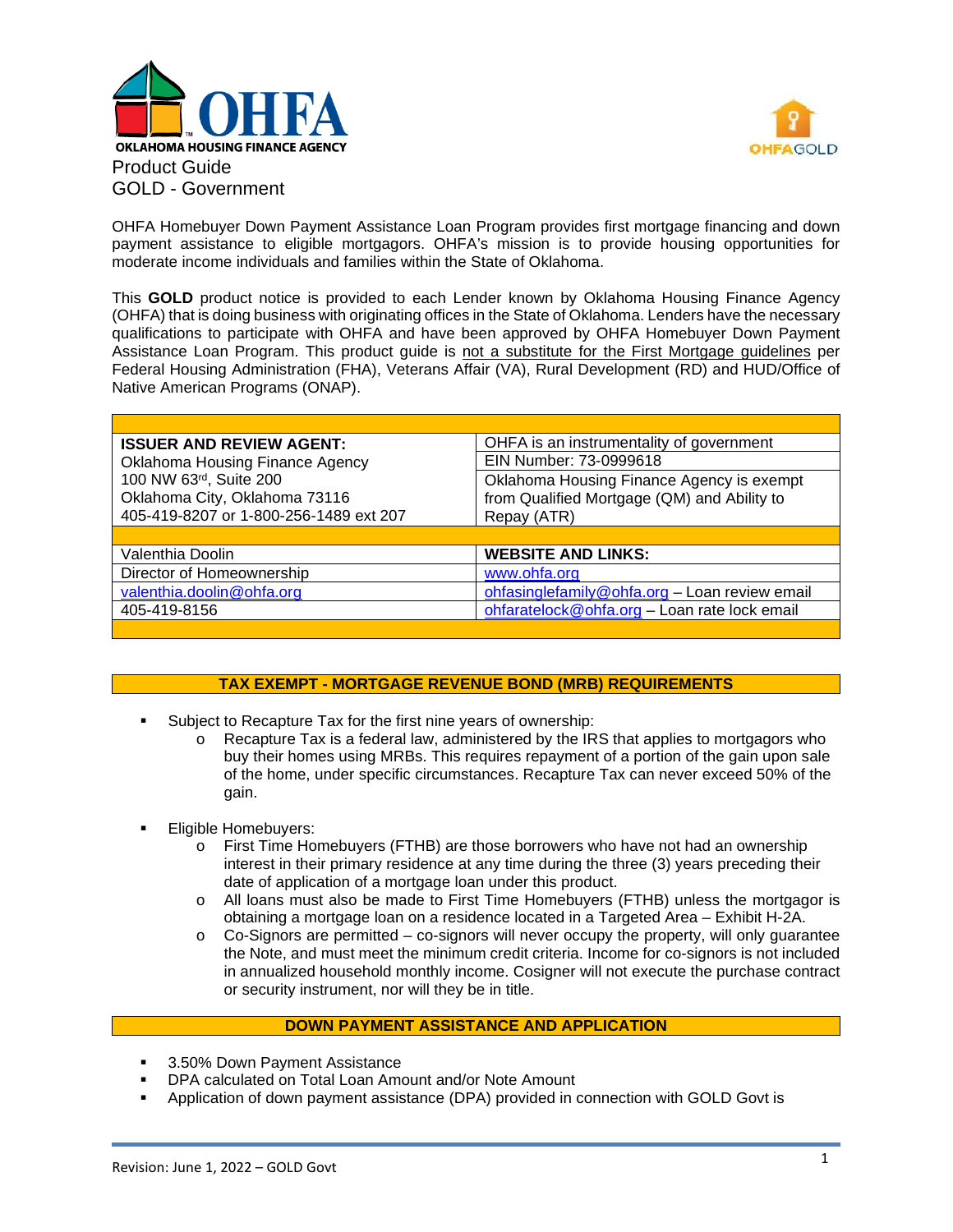



OHFA Homebuyer Down Payment Assistance Loan Program provides first mortgage financing and down payment assistance to eligible mortgagors. OHFA's mission is to provide housing opportunities for moderate income individuals and families within the State of Oklahoma.

This **GOLD** product notice is provided to each Lender known by Oklahoma Housing Finance Agency (OHFA) that is doing business with originating offices in the State of Oklahoma. Lenders have the necessary qualifications to participate with OHFA and have been approved by OHFA Homebuyer Down Payment Assistance Loan Program. This product guide is not a substitute for the First Mortgage guidelines per Federal Housing Administration (FHA), Veterans Affair (VA), Rural Development (RD) and HUD/Office of Native American Programs (ONAP).

| <b>ISSUER AND REVIEW AGENT:</b>        | OHFA is an instrumentality of government      |  |  |
|----------------------------------------|-----------------------------------------------|--|--|
| Oklahoma Housing Finance Agency        | EIN Number: 73-0999618                        |  |  |
| 100 NW 63rd, Suite 200                 | Oklahoma Housing Finance Agency is exempt     |  |  |
| Oklahoma City, Oklahoma 73116          | from Qualified Mortgage (QM) and Ability to   |  |  |
| 405-419-8207 or 1-800-256-1489 ext 207 | Repay (ATR)                                   |  |  |
|                                        |                                               |  |  |
| Valenthia Doolin                       | <b>WEBSITE AND LINKS:</b>                     |  |  |
| Director of Homeownership              | www.ohfa.org                                  |  |  |
|                                        |                                               |  |  |
| valenthia.doolin@ohfa.org              | ohfasinglefamily@ohfa.org - Loan review email |  |  |
| 405-419-8156                           | ohfaratelock@ohfa.org - Loan rate lock email  |  |  |

# **TAX EXEMPT - MORTGAGE REVENUE BOND (MRB) REQUIREMENTS**

- Subject to Recapture Tax for the first nine years of ownership:
	- $\circ$  Recapture Tax is a federal law, administered by the IRS that applies to mortgagors who buy their homes using MRBs. This requires repayment of a portion of the gain upon sale of the home, under specific circumstances. Recapture Tax can never exceed 50% of the gain.
- Eligible Homebuyers:
	- o First Time Homebuyers (FTHB) are those borrowers who have not had an ownership interest in their primary residence at any time during the three (3) years preceding their date of application of a mortgage loan under this product.
	- o All loans must also be made to First Time Homebuyers (FTHB) unless the mortgagor is obtaining a mortgage loan on a residence located in a Targeted Area – Exhibit H-2A.
	- $\circ$  Co-Signors are permitted co-signors will never occupy the property, will only quarantee the Note, and must meet the minimum credit criteria. Income for co-signors is not included in annualized household monthly income. Cosigner will not execute the purchase contract or security instrument, nor will they be in title.

# **DOWN PAYMENT ASSISTANCE AND APPLICATION**

- 3.50% Down Payment Assistance
- DPA calculated on Total Loan Amount and/or Note Amount
- Application of down payment assistance (DPA) provided in connection with GOLD Govt is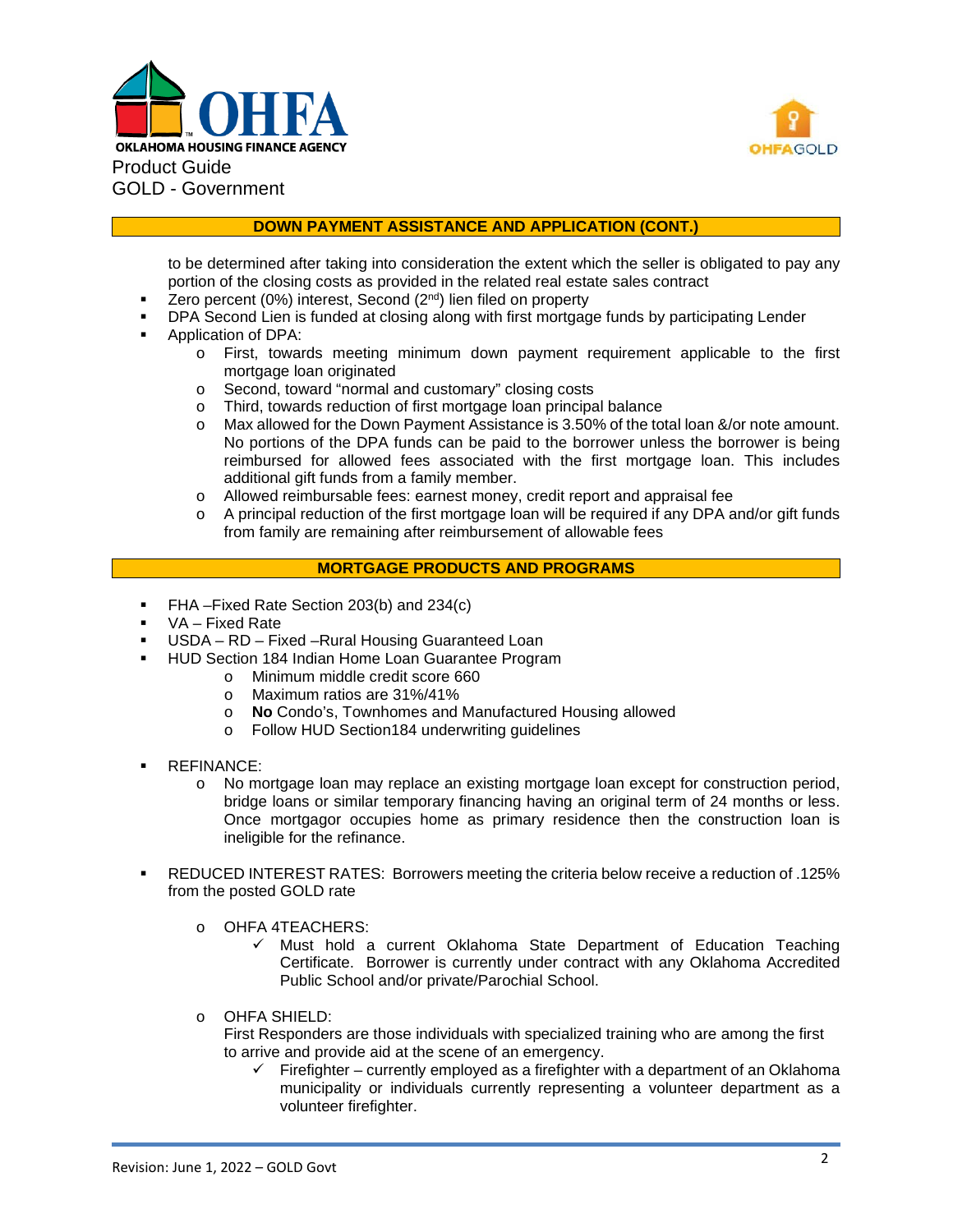



# **DOWN PAYMENT ASSISTANCE AND APPLICATION (CONT.)**

to be determined after taking into consideration the extent which the seller is obligated to pay any portion of the closing costs as provided in the related real estate sales contract

- $\blacksquare$  Zero percent (0%) interest, Second (2<sup>nd</sup>) lien filed on property
- DPA Second Lien is funded at closing along with first mortgage funds by participating Lender
- Application of DPA:
	- o First, towards meeting minimum down payment requirement applicable to the first mortgage loan originated
	- o Second, toward "normal and customary" closing costs
	- o Third, towards reduction of first mortgage loan principal balance<br>
	o Max allowed for the Down Payment Assistance is 3.50% of the tor
	- Max allowed for the Down Payment Assistance is 3.50% of the total loan &/or note amount. No portions of the DPA funds can be paid to the borrower unless the borrower is being reimbursed for allowed fees associated with the first mortgage loan. This includes additional gift funds from a family member.
	- o Allowed reimbursable fees: earnest money, credit report and appraisal fee
	- o A principal reduction of the first mortgage loan will be required if any DPA and/or gift funds from family are remaining after reimbursement of allowable fees

## **MORTGAGE PRODUCTS AND PROGRAMS**

- FHA –Fixed Rate Section 203(b) and 234(c)
- VA Fixed Rate
- USDA RD Fixed –Rural Housing Guaranteed Loan
- **HUD Section 184 Indian Home Loan Guarantee Program** 
	- o Minimum middle credit score 660
	- o Maximum ratios are 31%/41%
	- o **No** Condo's, Townhomes and Manufactured Housing allowed
	- o Follow HUD Section184 underwriting guidelines
- REFINANCE:
	- o No mortgage loan may replace an existing mortgage loan except for construction period, bridge loans or similar temporary financing having an original term of 24 months or less. Once mortgagor occupies home as primary residence then the construction loan is ineligible for the refinance.
- REDUCED INTEREST RATES: Borrowers meeting the criteria below receive a reduction of .125% from the posted GOLD rate
	- o OHFA 4TEACHERS:
		- $\checkmark$  Must hold a current Oklahoma State Department of Education Teaching Certificate. Borrower is currently under contract with any Oklahoma Accredited Public School and/or private/Parochial School.
	- o OHFA SHIELD:

First Responders are those individuals with specialized training who are among the first to arrive and provide aid at the scene of an emergency.

 $\checkmark$  Firefighter – currently employed as a firefighter with a department of an Oklahoma municipality or individuals currently representing a volunteer department as a volunteer firefighter.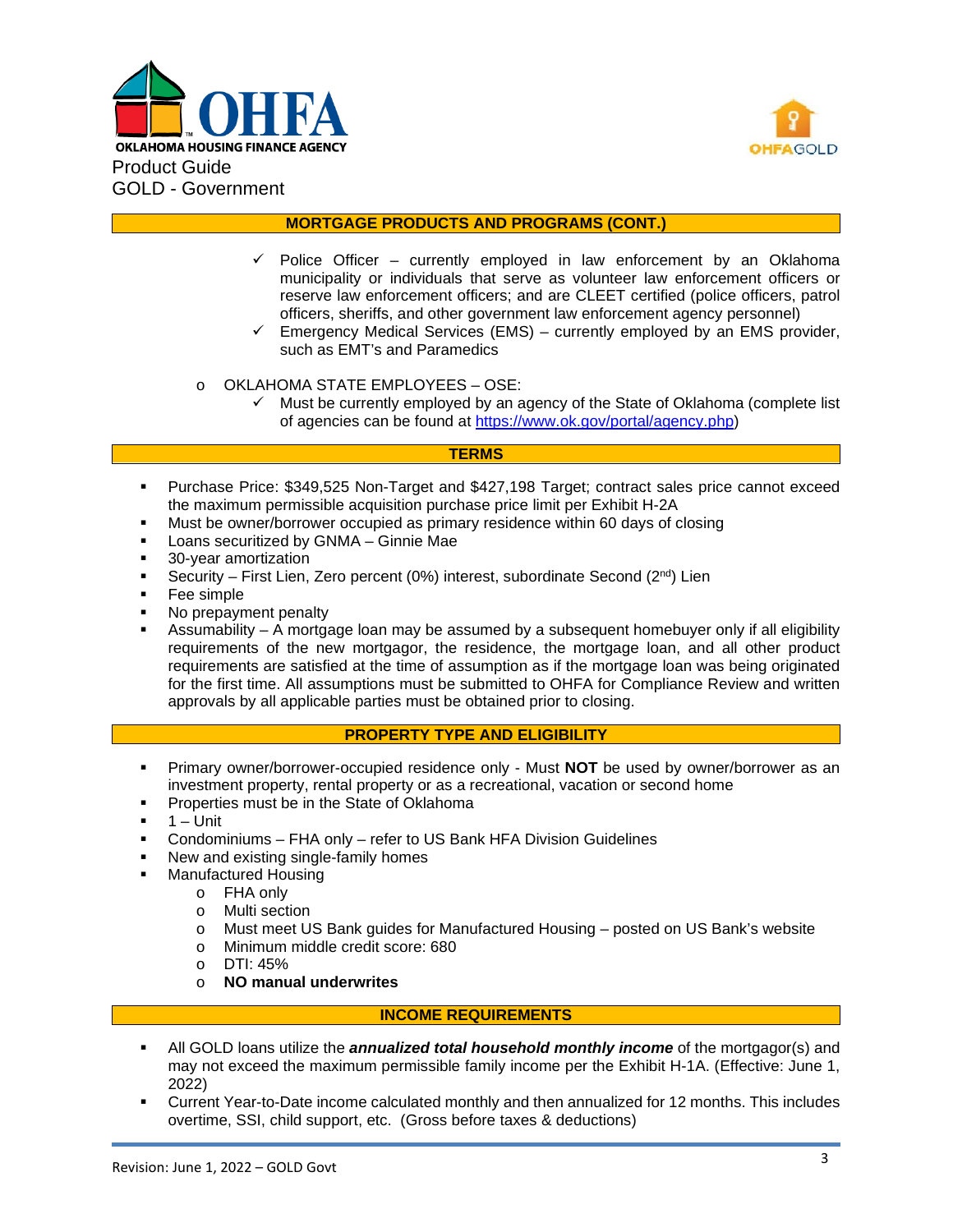



## **MORTGAGE PRODUCTS AND PROGRAMS (CONT.)**

- Police Officer currently employed in law enforcement by an Oklahoma municipality or individuals that serve as volunteer law enforcement officers or reserve law enforcement officers; and are CLEET certified (police officers, patrol officers, sheriffs, and other government law enforcement agency personnel)
- $\checkmark$  Emergency Medical Services (EMS) currently employed by an EMS provider, such as EMT's and Paramedics
- o OKLAHOMA STATE EMPLOYEES OSE:
	- $\checkmark$  Must be currently employed by an agency of the State of Oklahoma (complete list of agencies can be found at [https://www.ok.gov/portal/agency.php\)](https://www.ok.gov/portal/agency.php)

## **TERMS**

- Purchase Price: \$349,525 Non-Target and \$427,198 Target; contract sales price cannot exceed the maximum permissible acquisition purchase price limit per Exhibit H-2A
- Must be owner/borrower occupied as primary residence within 60 days of closing
- Loans securitized by GNMA Ginnie Mae
- 30-year amortization
- Security First Lien, Zero percent (0%) interest, subordinate Second ( $2^{nd}$ ) Lien
- **Fee simple**
- No prepayment penalty
- Assumability A mortgage loan may be assumed by a subsequent homebuyer only if all eligibility requirements of the new mortgagor, the residence, the mortgage loan, and all other product requirements are satisfied at the time of assumption as if the mortgage loan was being originated for the first time. All assumptions must be submitted to OHFA for Compliance Review and written approvals by all applicable parties must be obtained prior to closing.

## **PROPERTY TYPE AND ELIGIBILITY**

- Primary owner/borrower-occupied residence only Must **NOT** be used by owner/borrower as an investment property, rental property or as a recreational, vacation or second home
- **Properties must be in the State of Oklahoma**
- 1 Unit
- Condominiums FHA only refer to US Bank HFA Division Guidelines
- New and existing single-family homes
- Manufactured Housing
	- o FHA only
	-
	- o Multi section Must meet US Bank guides for Manufactured Housing – posted on US Bank's website
	- o Minimum middle credit score: 680
	- o DTI: 45%
	- o **NO manual underwrites**

## **INCOME REQUIREMENTS**

- All GOLD loans utilize the *annualized total household monthly income* of the mortgagor(s) and may not exceed the maximum permissible family income per the Exhibit H-1A. (Effective: June 1, 2022)
- Current Year-to-Date income calculated monthly and then annualized for 12 months. This includes overtime, SSI, child support, etc. (Gross before taxes & deductions)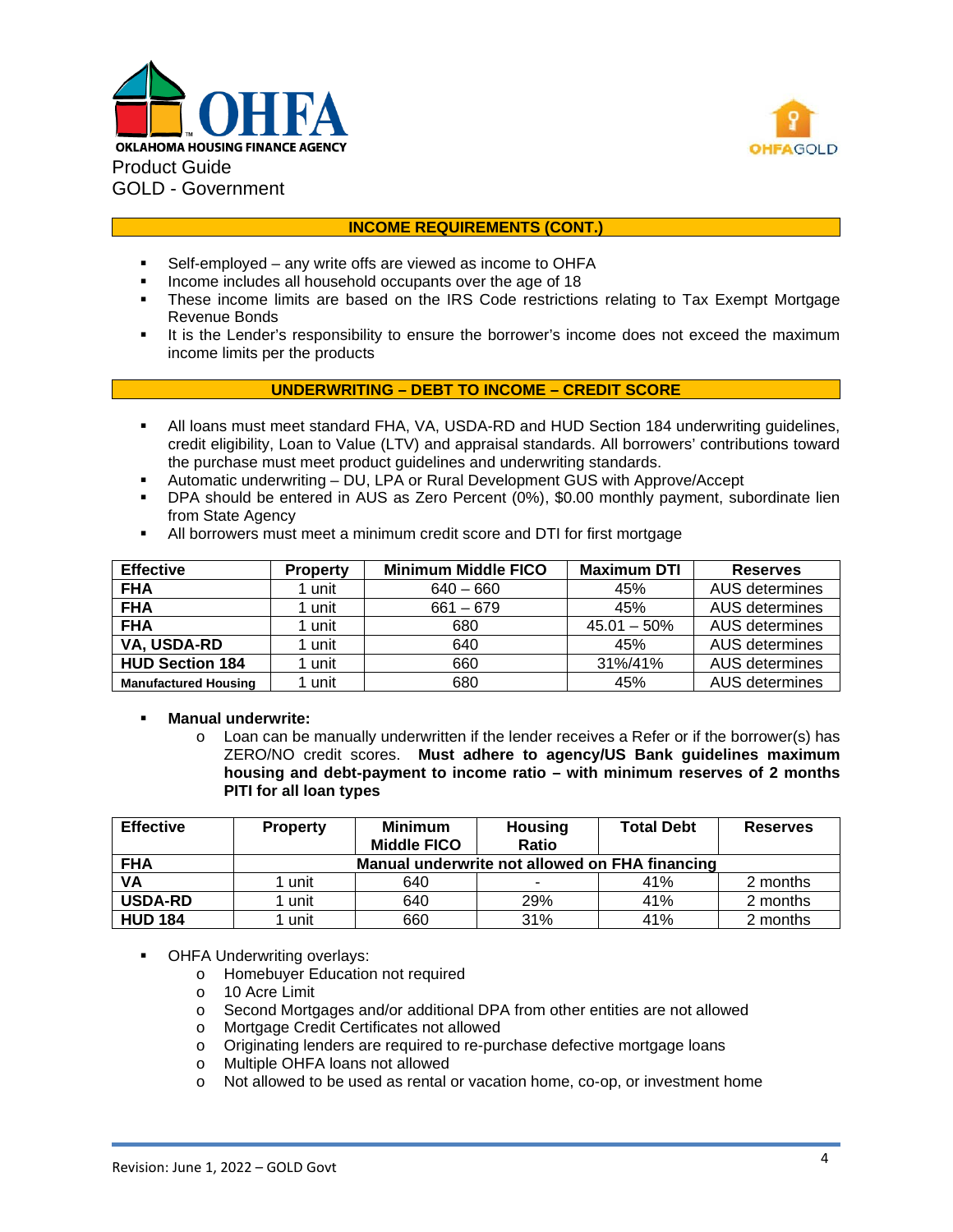



## **INCOME REQUIREMENTS (CONT.)**

- Self-employed any write offs are viewed as income to OHFA
- Income includes all household occupants over the age of 18<br>
These income limits are based on the IBS Code restriction
- These income limits are based on the IRS Code restrictions relating to Tax Exempt Mortgage Revenue Bonds
- It is the Lender's responsibility to ensure the borrower's income does not exceed the maximum income limits per the products

## **UNDERWRITING – DEBT TO INCOME – CREDIT SCORE**

- All loans must meet standard FHA, VA, USDA-RD and HUD Section 184 underwriting guidelines, credit eligibility, Loan to Value (LTV) and appraisal standards. All borrowers' contributions toward the purchase must meet product guidelines and underwriting standards.
- Automatic underwriting DU, LPA or Rural Development GUS with Approve/Accept
- DPA should be entered in AUS as Zero Percent (0%), \$0.00 monthly payment, subordinate lien from State Agency
- All borrowers must meet a minimum credit score and DTI for first mortgage

| <b>Effective</b>            | <b>Property</b> | <b>Minimum Middle FICO</b> | <b>Maximum DTI</b> | <b>Reserves</b> |
|-----------------------------|-----------------|----------------------------|--------------------|-----------------|
| <b>FHA</b>                  | 1 unit          | $640 - 660$                | 45%                | AUS determines  |
| <b>FHA</b><br>1 unit        |                 | $661 - 679$                | 45%                | AUS determines  |
| <b>FHA</b>                  | 1 unit          | 680                        | $45.01 - 50\%$     | AUS determines  |
| VA, USDA-RD                 | 1 unit<br>640   |                            | 45%                | AUS determines  |
| <b>HUD Section 184</b>      | 1 unit          | 660                        | 31%/41%            | AUS determines  |
| <b>Manufactured Housing</b> | unit            | 680                        | 45%                | AUS determines  |

## **Manual underwrite:**

o Loan can be manually underwritten if the lender receives a Refer or if the borrower(s) has ZERO/NO credit scores. **Must adhere to agency/US Bank guidelines maximum housing and debt**‐**payment to income ratio – with minimum reserves of 2 months PITI for all loan types**

| <b>Effective</b> | <b>Property</b>                                | <b>Minimum</b><br><b>Middle FICO</b> | <b>Housing</b><br><b>Ratio</b> | <b>Total Debt</b> | <b>Reserves</b> |  |  |
|------------------|------------------------------------------------|--------------------------------------|--------------------------------|-------------------|-----------------|--|--|
| <b>FHA</b>       | Manual underwrite not allowed on FHA financing |                                      |                                |                   |                 |  |  |
| VA               | 1 unit                                         | 640                                  | ۰                              | 41%               | 2 months        |  |  |
| <b>USDA-RD</b>   | 1 unit                                         | 640                                  | 29%                            | 41%               | 2 months        |  |  |
| <b>HUD 184</b>   | l unit                                         | 660                                  | 31%                            | 41%               | 2 months        |  |  |

- OHFA Underwriting overlays:
	- o Homebuyer Education not required<br>
	o 10 Acre Limit
	- o 10 Acre Limit
	- Second Mortgages and/or additional DPA from other entities are not allowed
	- o Mortgage Credit Certificates not allowed
	- o Originating lenders are required to re-purchase defective mortgage loans<br>
	o Multiple OHFA loans not allowed
	- Multiple OHFA loans not allowed
	- o Not allowed to be used as rental or vacation home, co-op, or investment home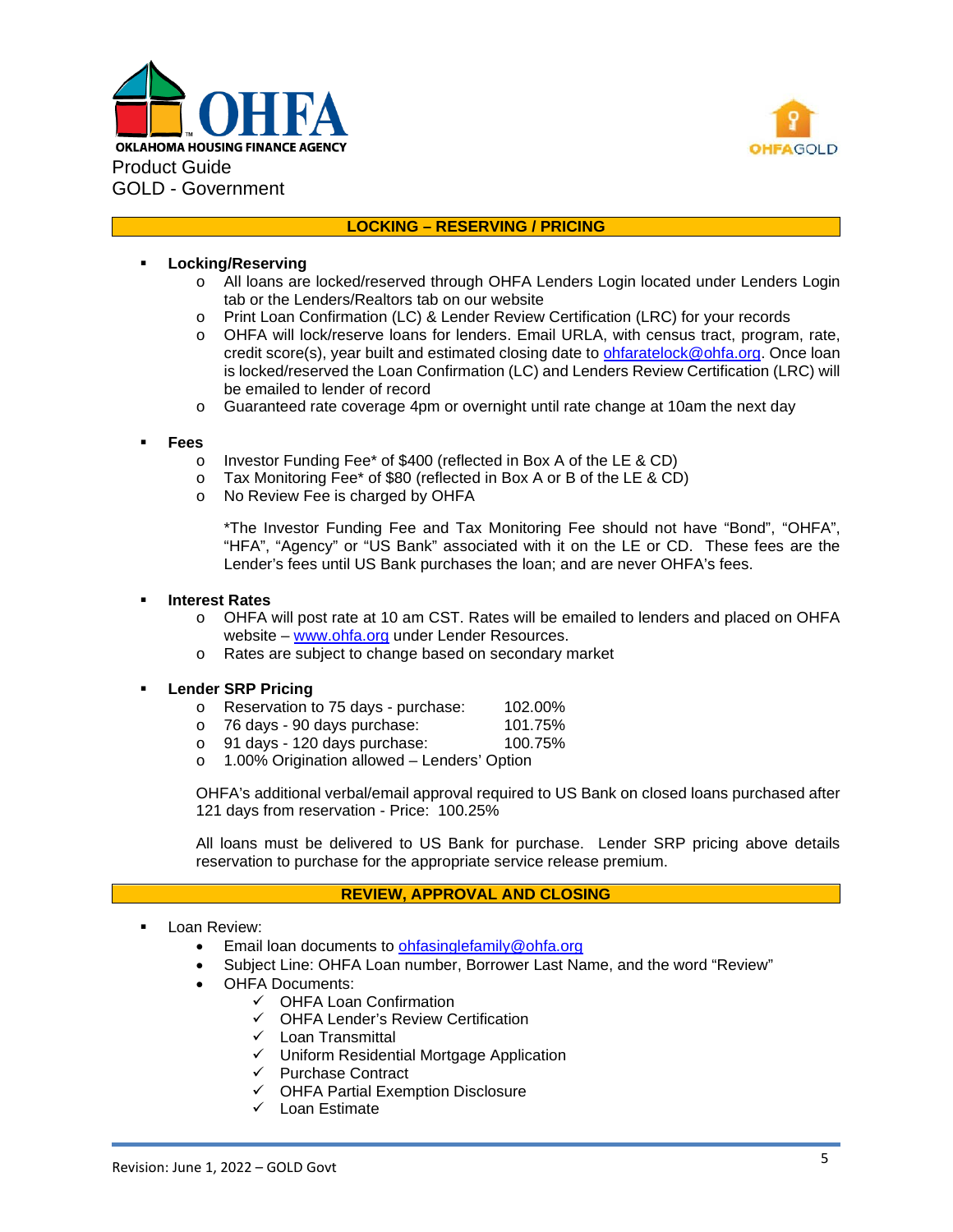



## **LOCKING – RESERVING / PRICING**

### **Locking/Reserving**

- o All loans are locked/reserved through OHFA Lenders Login located under Lenders Login tab or the Lenders/Realtors tab on our website
- o Print Loan Confirmation (LC) & Lender Review Certification (LRC) for your records<br>o OHFA will lock/reserve loans for lenders. Email URLA, with census tract, progran
- o OHFA will lock/reserve loans for lenders. Email URLA, with census tract, program, rate, credit score(s), year built and estimated closing date to [ohfaratelock@ohfa.org.](mailto:ohfaratelock@ohfa.org) Once loan is locked/reserved the Loan Confirmation (LC) and Lenders Review Certification (LRC) will be emailed to lender of record
- o Guaranteed rate coverage 4pm or overnight until rate change at 10am the next day

#### **Fees**

- o Investor Funding Fee\* of \$400 (reflected in Box A of the LE & CD)
- o Tax Monitoring Fee\* of \$80 (reflected in Box A or B of the LE & CD)
- o No Review Fee is charged by OHFA

\*The Investor Funding Fee and Tax Monitoring Fee should not have "Bond", "OHFA", "HFA", "Agency" or "US Bank" associated with it on the LE or CD. These fees are the Lender's fees until US Bank purchases the loan; and are never OHFA's fees.

#### **Interest Rates**

- o OHFA will post rate at 10 am CST. Rates will be emailed to lenders and placed on OHFA website – [www.ohfa.org](http://www.ohfa.org/) under Lender Resources.
- o Rates are subject to change based on secondary market

## **Lender SRP Pricing**

- o Reservation to 75 days purchase: 102.00%<br>o 76 days 90 days purchase: 101.75%
- o 76 days 90 days purchase: 101.75%<br>o 91 days 120 days purchase: 100.75%
- $\circ$  91 days 120 days purchase:
- o 1.00% Origination allowed Lenders' Option

OHFA's additional verbal/email approval required to US Bank on closed loans purchased after 121 days from reservation - Price: 100.25%

All loans must be delivered to US Bank for purchase. Lender SRP pricing above details reservation to purchase for the appropriate service release premium.

## **REVIEW, APPROVAL AND CLOSING**

- Loan Review:
	- Email loan documents to [ohfasinglefamily@ohfa.org](mailto:ohfasinglefamily@ohfa.org)
	- Subject Line: OHFA Loan number, Borrower Last Name, and the word "Review"
	- OHFA Documents:
		- $\checkmark$  OHFA Loan Confirmation
		- OHFA Lender's Review Certification
		- $\checkmark$  Loan Transmittal
		- Uniform Residential Mortgage Application
		- $\checkmark$  Purchase Contract
		- $\checkmark$  OHFA Partial Exemption Disclosure
		- $\checkmark$  Loan Estimate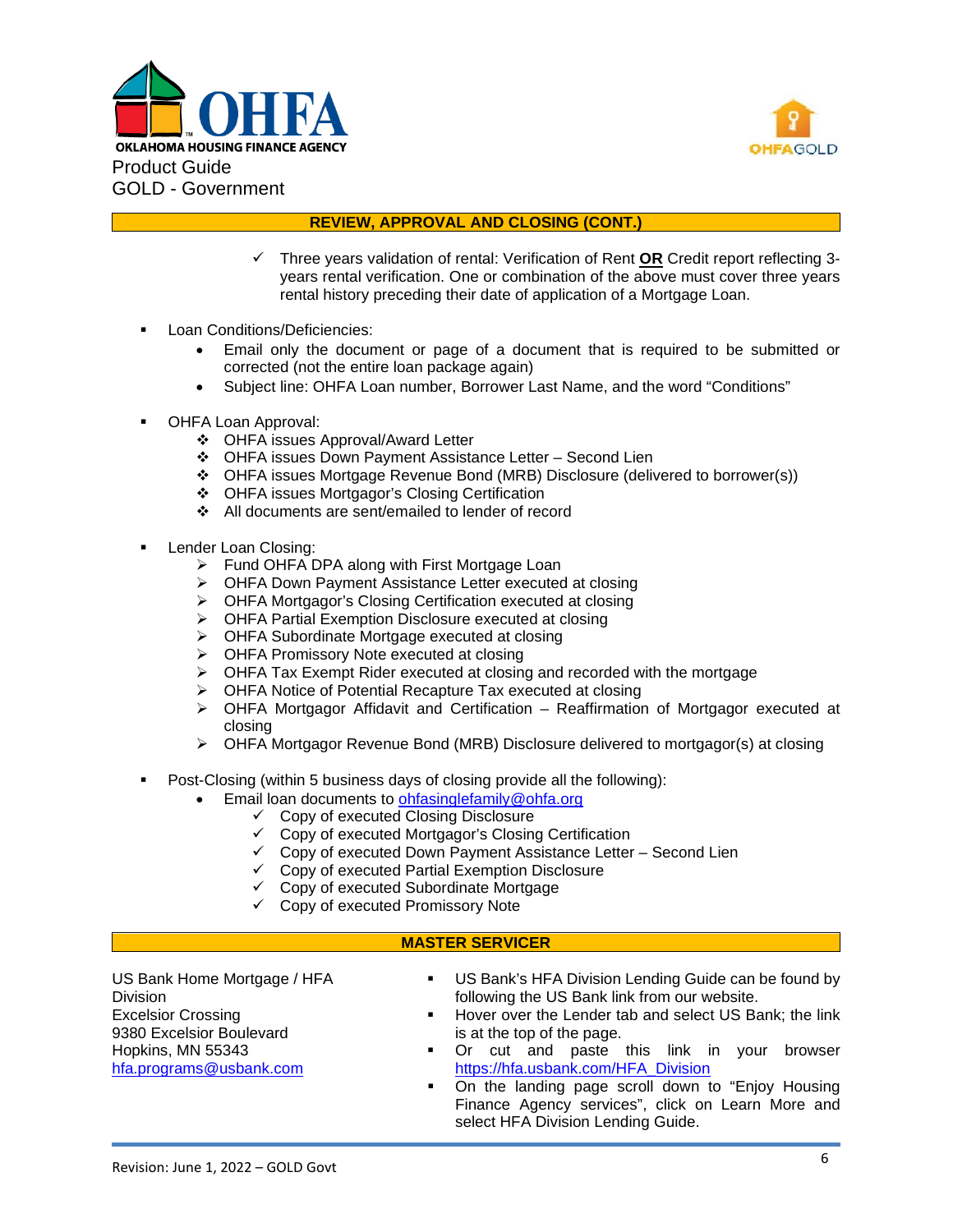



## **REVIEW, APPROVAL AND CLOSING (CONT.)**

- Three years validation of rental: Verification of Rent **OR** Credit report reflecting 3 years rental verification. One or combination of the above must cover three years rental history preceding their date of application of a Mortgage Loan.
- Loan Conditions/Deficiencies:
	- Email only the document or page of a document that is required to be submitted or corrected (not the entire loan package again)
	- Subject line: OHFA Loan number, Borrower Last Name, and the word "Conditions"
- OHFA Loan Approval:
	- OHFA issues Approval/Award Letter
	- OHFA issues Down Payment Assistance Letter Second Lien
	- OHFA issues Mortgage Revenue Bond (MRB) Disclosure (delivered to borrower(s))
	- OHFA issues Mortgagor's Closing Certification
	- All documents are sent/emailed to lender of record
- Lender Loan Closing:
	- > Fund OHFA DPA along with First Mortgage Loan
	- OHFA Down Payment Assistance Letter executed at closing
	- OHFA Mortgagor's Closing Certification executed at closing
	- OHFA Partial Exemption Disclosure executed at closing
	- OHFA Subordinate Mortgage executed at closing
	- OHFA Promissory Note executed at closing
	- $\triangleright$  OHFA Tax Exempt Rider executed at closing and recorded with the mortgage
	- ▶ OHFA Notice of Potential Recapture Tax executed at closing
	- $\triangleright$  OHFA Mortgagor Affidavit and Certification Reaffirmation of Mortgagor executed at closing
	- OHFA Mortgagor Revenue Bond (MRB) Disclosure delivered to mortgagor(s) at closing
- Post-Closing (within 5 business days of closing provide all the following):
	- Email loan documents to [ohfasinglefamily@ohfa.org](mailto:ohfasinglefamily@ohfa.org)
		- $\checkmark$  Copy of executed Closing Disclosure
		- Copy of executed Mortgagor's Closing Certification
		- $\checkmark$  Copy of executed Down Payment Assistance Letter Second Lien
		- $\checkmark$  Copy of executed Partial Exemption Disclosure
		- $\checkmark$  Copy of executed Subordinate Mortgage
		- $\checkmark$  Copy of executed Promissory Note

## **MASTER SERVICER**

US Bank Home Mortgage / HFA **Division** Excelsior Crossing 9380 Excelsior Boulevard Hopkins, MN 55343 [hfa.programs@usbank.com](mailto:hfa.programs@usbank.com)

- **US Bank's HFA Division Lending Guide can be found by** following the US Bank link from our website.
- Hover over the Lender tab and select US Bank; the link is at the top of the page.
- **•** Or cut and paste this link in your browser [https://hfa.usbank.com/HFA\\_Division](https://hfa.usbank.com/HFA_Division)
- On the landing page scroll down to "Enjoy Housing Finance Agency services", click on Learn More and select HFA Division Lending Guide.